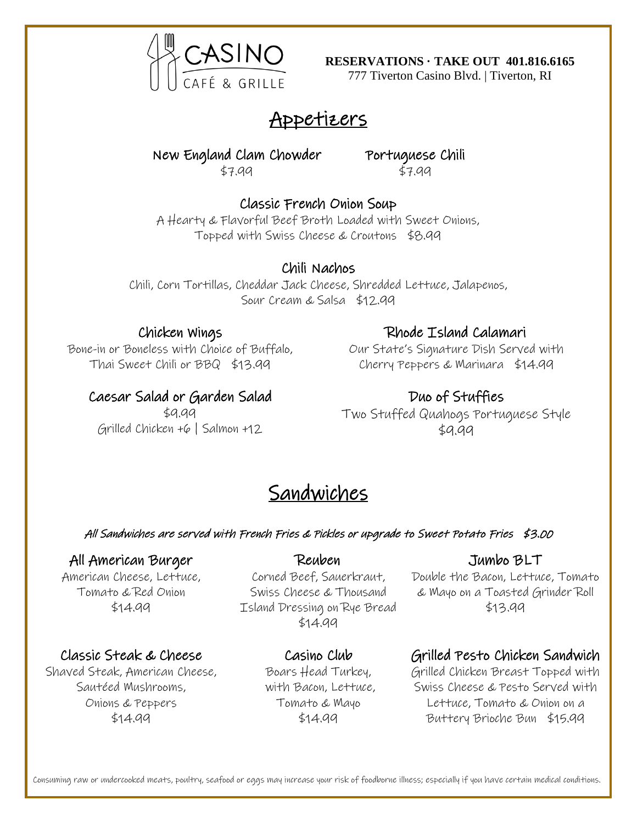

**RESERVATIONS · TAKE OUT 401.816.6165**

777 Tiverton Casino Blvd. | Tiverton, RI

# Appetizers

New England Clam Chowder \$7.99

Portuguese Chili \$7.99

#### Classic French Onion Soup A Hearty & Flavorful Beef Broth Loaded with Sweet Onions, Topped with Swiss Cheese & Croutons \$8.99

Chili Nachos

Chili, Corn Tortillas, Cheddar Jack Cheese, Shredded Lettuce, Jalapenos, Sour Cream & Salsa \$12.99

### Chicken Wings

Bone-in or Boneless with Choice of Buffalo, Thai Sweet Chili or BBQ \$13.99

## Caesar Salad or Garden Salad

\$9.99 Grilled Chicken +6 | Salmon +12

### Rhode Island Calamari

Our State's Signature Dish Served with Cherry Peppers & Marinara \$14.99

## Duo of Stuffies

Two Stuffed Quahogs Portuguese Style  $$9.99$ 

# Sandwiches

#### All Sandwiches are served with French Fries & Pickles or upgrade to Sweet Potato Fries \$3.00

Reuben

### All American Burger

American Cheese, Lettuce, Tomato & Red Onion \$14.99

### Classic Steak & Cheese

Shaved Steak, American Cheese, Sautéed Mushrooms, Onions & Peppers \$14.99

Corned Beef, Sauerkraut, Swiss Cheese & Thousand Island Dressing on Rye Bread \$14.99

## Casino Club

Boars Head Turkey, with Bacon, Lettuce, Tomato & Mayo \$14.99

### Jumbo BLT

Double the Bacon, Lettuce, Tomato & Mayo on a Toasted Grinder Roll \$13.99

## Grilled Pesto Chicken Sandwich

Grilled Chicken Breast Topped with Swiss Cheese & Pesto Served with Lettuce, Tomato & Onion on a Buttery Brioche Bun \$15.99

Consuming raw or undercooked meats, poultry, seafood or eggs may increase your risk of foodborne illness; especially if you have certain medical conditions.